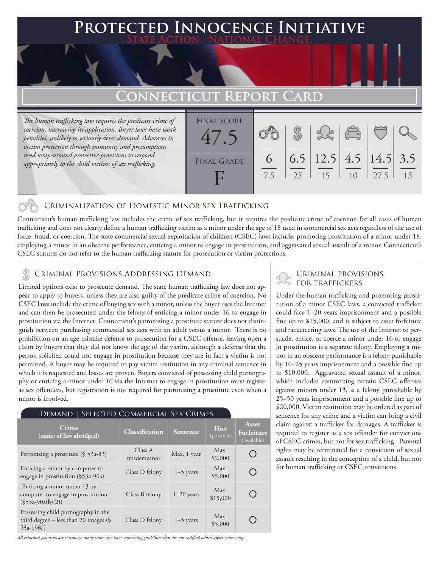## **PTED INNOCENCE INITIAT State Action . National Change.**

# **Connecticut Report Card**

*The human trafficking law requires the predicate crime of coercion, narrowing its application. Buyer laws have weak penalties, unlikely to seriously deter demand. Advances in victim protection through immunity and presumptions need wrap-around protective provisions to respond appropriately to the child victims of sex trafficking.*

| <b>FINAL SCORE</b> |          |    |                               |                |      |    |
|--------------------|----------|----|-------------------------------|----------------|------|----|
|                    |          |    |                               | $\sqrt{2}$     |      |    |
| $4^7$              |          |    |                               |                |      |    |
|                    | $\sigma$ |    | 6.5 $ 12.5 $ 4.5 $ 14.5 $ 3.5 |                |      |    |
| <b>FINAL GRADE</b> |          |    |                               |                |      |    |
|                    | 7.5      | 25 | 15                            | 1 <sub>0</sub> | 27.5 | 15 |
|                    |          |    |                               |                |      |    |

## Criminalization of Domestic Minor Sex Trafficking

Connecticut's human trafficking law includes the crime of sex trafficking, but it requires the predicate crime of coercion for all cases of human trafficking and does not clearly define a human trafficking victim as a minor under the age of 18 used in commercial sex acts regardless of the use of force, fraud, or coercion. The state commercial sexual exploitation of children (CSEC) laws include: promoting prostitution of a minor under 18, employing a minor in an obscene performance, enticing a minor to engage in prostitution, and aggravated sexual assault of a minor. Connecticut's CSEC statutes do not refer to the human trafficking statute for prosecution or victim protections.

# CRIMINAL PROVISIONS ADDRESSING DEMAND<br>
FOR TRAFFICKERS \$ FOR TRAFFICKERS

Limited options exist to prosecute demand. The state human trafficking law does not appear to apply to buyers, unless they are also guilty of the predicate crime of coercion. No CSEC laws include the crime of buying sex with a minor, unless the buyer uses the Internet and can then be prosecuted under the felony of enticing a minor under 16 to engage in prostitution via the Internet. Connecticut's patronizing a prostitute statute does not distinguish between purchasing commercial sex acts with an adult versus a minor. There is no prohibition on an age mistake defense to prosecution for a CSEC offense, leaving open a claim by buyers that they did not know the age of the victim, although a defense that the person solicited could not engage in prostitution because they are in fact a victim is not permitted. A buyer may be required to pay victim restitution in any criminal sentence in which it is requested and losses are proven. Buyers convicted of possessing child pornography or enticing a minor under 16 via the Internet to engage in prostitution must register as sex offenders, but registration is not required for patronizing a prostitute even when a minor is involved.

## Demand | Selected Commercial Sex Crimes

| Crime<br>(name of law abridged)                                                           | Classification         | <b>Sentence</b> | Fine<br>(possible) | Asset<br>Forfeiture<br>(available) |
|-------------------------------------------------------------------------------------------|------------------------|-----------------|--------------------|------------------------------------|
| Patronizing a prostitute (§ 53a-83)                                                       | Class A<br>misdemeanor | Max. 1 year     | Max.<br>\$2,000    |                                    |
| Enticing a minor by computer to<br>engage in prostitution (§53a-90a)                      | Class D felony         | $1-5$ years     | Max.<br>\$5,000    |                                    |
| Enticing a minor under 13 by<br>computer to engage in prostitution<br>$(\$53a-90a(b)(2))$ | Class B felony         | $1-20$ years    | Max.<br>\$15,000   |                                    |
| Possessing child pornography in the<br>third degree - less than 20 images (§<br>53a-196f) | Class D felony         | $1-5$ years     | Max.<br>\$5,000    |                                    |

*All criminal penalties are statutory; many states also have sentencing guidelines that are not codified which affect sentencing.* 

Under the human trafficking and promoting prostitution of a minor CSEC laws, a convicted trafficker could face 1–20 years imprisonment and a possible fine up to \$15,000, and is subject to asset forfeiture and racketeering laws. The use of the Internet to persuade, entice, or coerce a minor under 16 to engage in prostitution is a separate felony. Employing a minor in an obscene performance is a felony punishable by 10–25 years imprisonment and a possible fine up to \$10,000. Aggravated sexual assault of a minor, which includes committing certain CSEC offenses against minors under 13, is a felony punishable by 25–50 years imprisonment and a possible fine up to \$20,000. Victim restitution may be ordered as part of sentence for any crime and a victim can bring a civil claim against a trafficker for damages. A trafficker is required to register as a sex offender for convictions of CSEC crimes, but not for sex trafficking. Parental rights may be terminated for a conviction of sexual assault resulting in the conception of a child, but not for human trafficking or CSEC convictions.